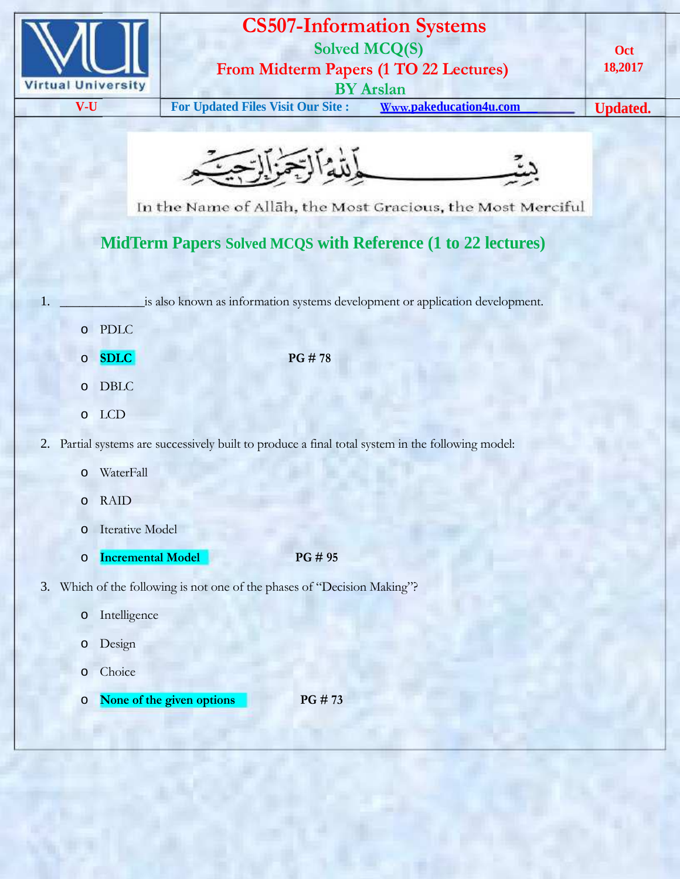

## **CS507-Information Systems Solved MCQ(S) From Midterm Papers (1 TO 22 Lectures)**

**V-U For Updated Files Visit Our Site : Www.pakeducation4u.com Updated.**

**BY Arslan**

**Oct 18,2017**



In the Name of Allah, the Most Gracious, the Most Merciful

## **MidTerm Papers Solved MCQS with Reference (1 to 22 lectures)**

is also known as information systems development or application development.

|    | $\circ$ | <b>PDLC</b>                                                                                       |  |
|----|---------|---------------------------------------------------------------------------------------------------|--|
|    | $\circ$ | <b>SDLC</b><br>PG#78                                                                              |  |
|    | $\circ$ | <b>DBLC</b>                                                                                       |  |
|    | $\circ$ | <b>LCD</b>                                                                                        |  |
|    |         | 2. Partial systems are successively built to produce a final total system in the following model: |  |
|    | $\circ$ | WaterFall                                                                                         |  |
|    | $\circ$ | <b>RAID</b>                                                                                       |  |
|    | $\circ$ | <b>Iterative Model</b>                                                                            |  |
|    | $\circ$ | <b>Incremental Model</b><br>PG # 95                                                               |  |
| 3. |         | Which of the following is not one of the phases of "Decision Making"?                             |  |
|    | $\circ$ | Intelligence                                                                                      |  |
|    | $\circ$ | Design                                                                                            |  |
|    | $\circ$ | Choice                                                                                            |  |
|    | $\circ$ | None of the given options<br>PG #73                                                               |  |
|    |         |                                                                                                   |  |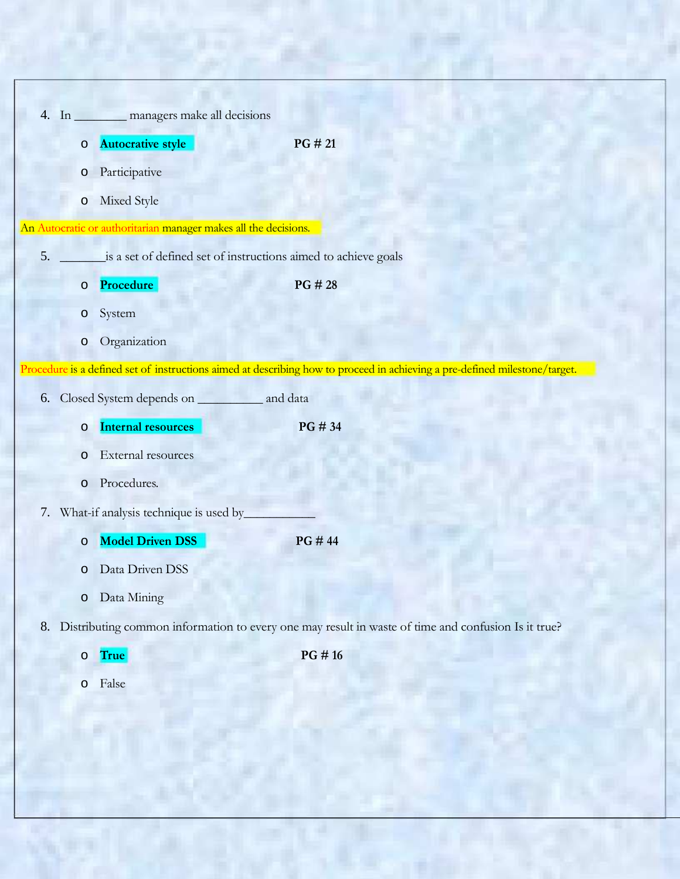|    |                   | 4. In ________ managers make all decisions                      |                                                                                                                            |
|----|-------------------|-----------------------------------------------------------------|----------------------------------------------------------------------------------------------------------------------------|
|    | $\circ$           | <b>Autocrative style</b>                                        | PG # 21                                                                                                                    |
|    | $\circ$           | Participative                                                   |                                                                                                                            |
|    |                   |                                                                 |                                                                                                                            |
|    | $\circ$           | Mixed Style                                                     |                                                                                                                            |
|    |                   | An Autocratic or authoritarian manager makes all the decisions. |                                                                                                                            |
| 5. |                   | is a set of defined set of instructions aimed to achieve goals  |                                                                                                                            |
|    | $\circ$           | Procedure                                                       | PG # 28                                                                                                                    |
|    | System<br>$\circ$ |                                                                 |                                                                                                                            |
|    | $\circ$           | Organization                                                    |                                                                                                                            |
|    |                   |                                                                 | Procedure is a defined set of instructions aimed at describing how to proceed in achieving a pre-defined milestone/target. |
| 6. |                   | Closed System depends on _____________ and data                 |                                                                                                                            |
|    | $\circ$           | <b>Internal resources</b>                                       | PG # 34                                                                                                                    |
|    |                   |                                                                 |                                                                                                                            |
|    | $\circ$           | External resources                                              |                                                                                                                            |
|    |                   |                                                                 |                                                                                                                            |
|    | $\circ$           | Procedures.                                                     |                                                                                                                            |
|    |                   | 7. What-if analysis technique is used by_                       |                                                                                                                            |
|    | $\circ$           | <b>Model Driven DSS</b>                                         | PG #44                                                                                                                     |
|    | $\circ$           | Data Driven DSS                                                 |                                                                                                                            |
|    | $\circ$           | Data Mining                                                     |                                                                                                                            |
|    |                   |                                                                 | 8. Distributing common information to every one may result in waste of time and confusion Is it true?                      |
|    | o True            |                                                                 | PG #16                                                                                                                     |
|    | False<br>$\circ$  |                                                                 |                                                                                                                            |
|    |                   |                                                                 |                                                                                                                            |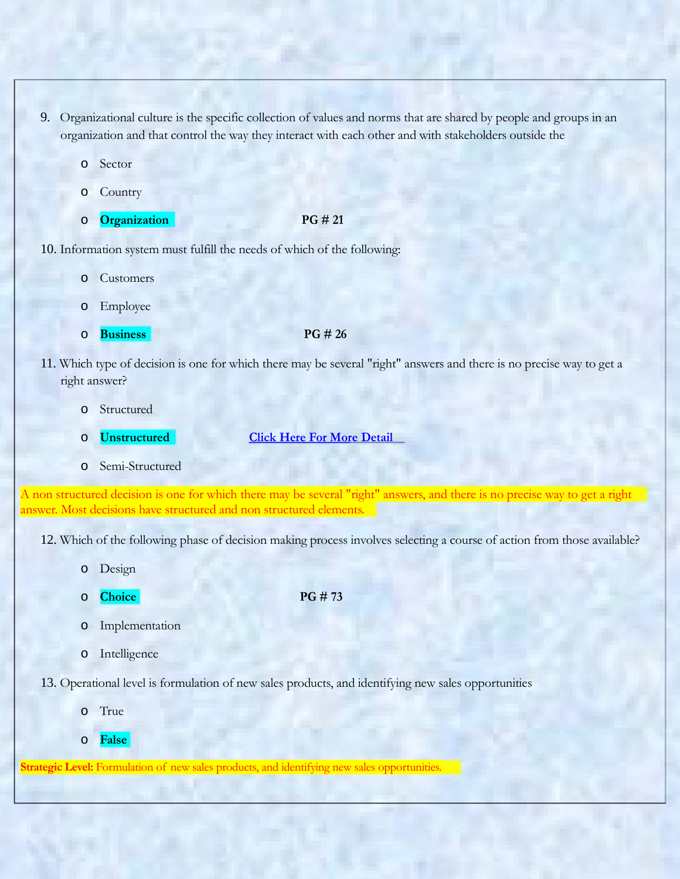- 9. Organizational culture is the specific collection of values and norms that are shared by people and groups in an organization and that control the way they interact with each other and with stakeholders outside the
	- o Sector
	- o Country
	- o **Organization PG # 21**

10. Information system must fulfill the needs of which of the following:

- Customers
- o Employee
- o **Business PG # 26**

- 11. Which type of decision is one for which there may be several "right" answers and there is no precise way to get a right answer?
	- o Structured
	-
	- o **Unstructured Click Here For More Detail**
	- o Semi-Structured

A non structured decision is one for which there may be several "right" answers, and there is no precise way to get a right answer. Most decisions have structured and non structured elements.

12. Which of the following phase of decision making process involves selecting a course of action from those available?

- o Design
- o **Choice PG # 73**

- o Implementation
- o Intelligence

13. Operational level is formulation of new sales products, and identifying new sales opportunities

- o True
- o **False**

**Strategic Level:** Formulation of new sales products, and identifying new sales opportunities.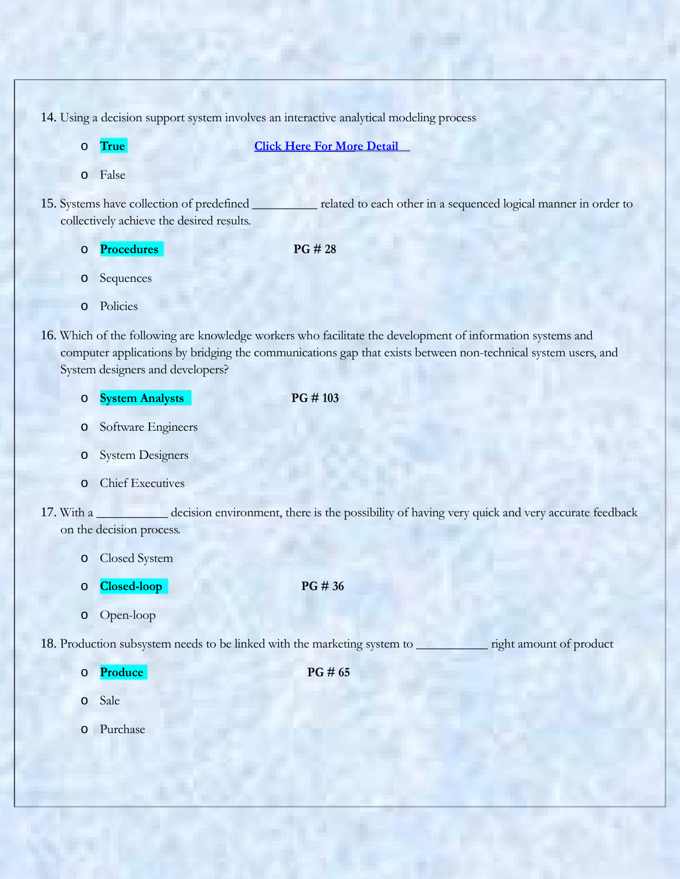14. Using a decision support system involves an interactive analytical modeling process

o **True Click Here For More Detail** o False 15. Systems have collection of predefined \_\_\_\_\_\_\_\_\_\_ related to each other in a sequenced logical manner in order to collectively achieve the desired results. o **Procedures PG # 28** o Sequences o Policies 16. Which of the following are knowledge workers who facilitate the development of information systems and computer applications by bridging the communications gap that exists between non-technical system users, and System designers and developers? o **System Analysts PG # 103** o Software Engineers o System Designers o Chief Executives 17. With a \_\_\_\_\_\_\_\_\_\_\_ decision environment, there is the possibility of having very quick and very accurate feedback on the decision process. o Closed System o **Closed-loop PG # 36** o Open-loop 18. Production subsystem needs to be linked with the marketing system to \_\_\_\_\_\_\_\_\_\_\_ right amount of product o **Produce PG # 65** o Sale o Purchase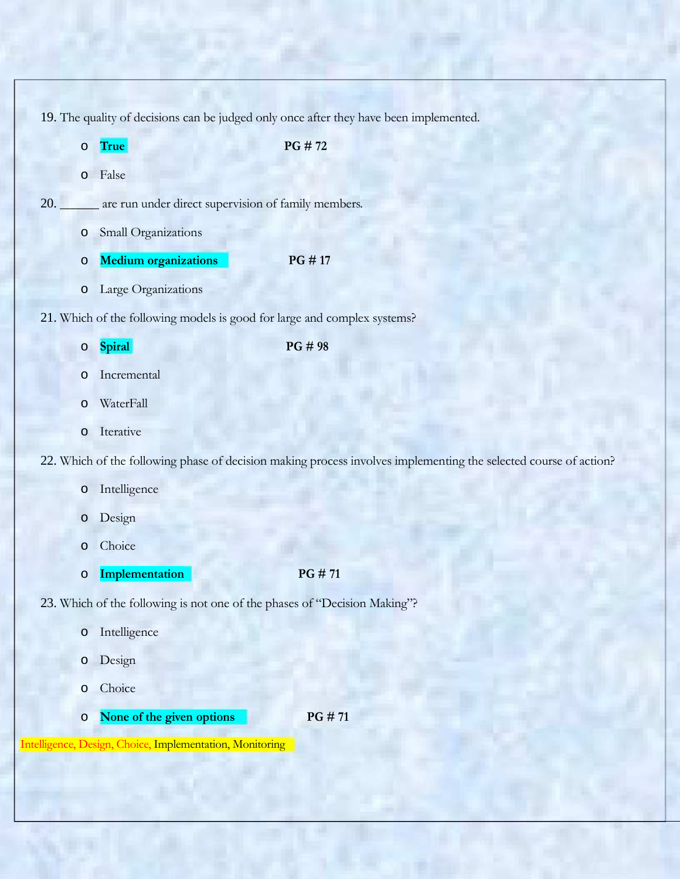19. The quality of decisions can be judged only once after they have been implemented.

o **True PG # 72** o False 20. \_\_\_\_\_\_ are run under direct supervision of family members. o Small Organizations o **Medium organizations PG # 17** o Large Organizations 21. Which of the following models is good for large and complex systems? o **Spiral PG # 98** o Incremental o WaterFall o Iterative 22. Which of the following phase of decision making process involves implementing the selected course of action? o Intelligence o Design o Choice o **Implementation PG # 71** 23. Which of the following is not one of the phases of "Decision Making"? o Intelligence o Design o Choice o **None of the given options PG # 71**

Intelligence, Design, Choice, Implementation, Monitoring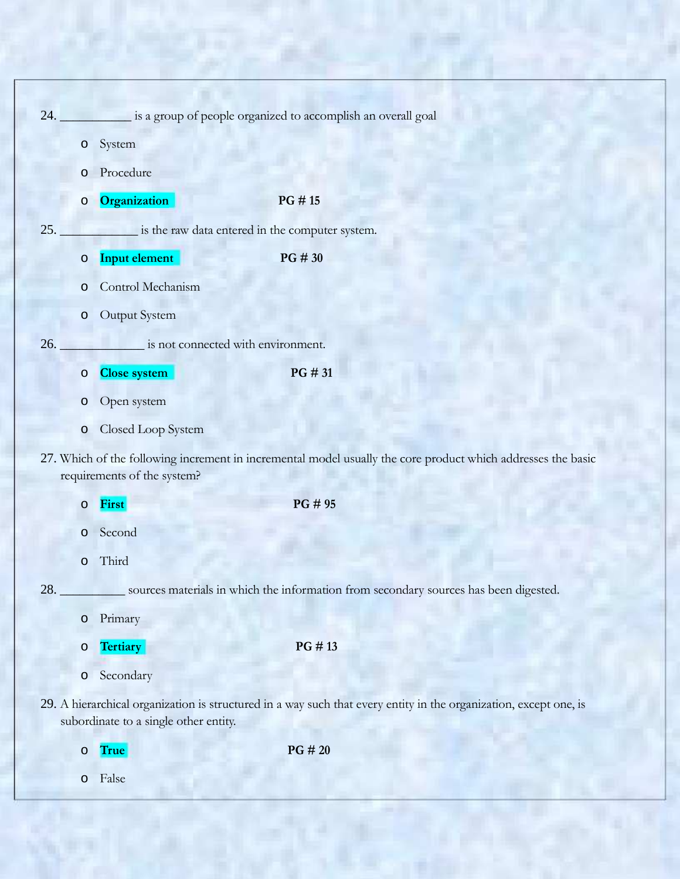| 24. |         |                                                 | is a group of people organized to accomplish an overall goal                                                      |
|-----|---------|-------------------------------------------------|-------------------------------------------------------------------------------------------------------------------|
|     | $\circ$ | System                                          |                                                                                                                   |
|     | $\circ$ | Procedure                                       |                                                                                                                   |
|     | $\circ$ | Organization                                    | PG #15                                                                                                            |
| 25. |         | is the raw data entered in the computer system. |                                                                                                                   |
|     | $\circ$ | Input element                                   | PG # 30                                                                                                           |
|     | $\circ$ | Control Mechanism                               |                                                                                                                   |
|     | $\circ$ | Output System                                   |                                                                                                                   |
| 26. |         | is not connected with environment.              |                                                                                                                   |
|     | $\circ$ | <b>Close system</b>                             | PG # 31                                                                                                           |
|     | $\circ$ | Open system                                     |                                                                                                                   |
|     | $\circ$ | Closed Loop System                              |                                                                                                                   |
|     |         | requirements of the system?                     | 27. Which of the following increment in incremental model usually the core product which addresses the basic      |
|     | $\circ$ | First                                           | PG # 95                                                                                                           |
|     | $\circ$ | Second                                          |                                                                                                                   |
|     | $\circ$ | Third                                           |                                                                                                                   |
| 28. |         |                                                 | sources materials in which the information from secondary sources has been digested.                              |
|     | $\circ$ | Primary                                         |                                                                                                                   |
|     | $\circ$ | <b>Tertiary</b>                                 | PG #13                                                                                                            |
|     | $\circ$ | Secondary                                       |                                                                                                                   |
|     |         | subordinate to a single other entity.           | 29. A hierarchical organization is structured in a way such that every entity in the organization, except one, is |
|     | $\circ$ | True                                            | PG # 20                                                                                                           |

o False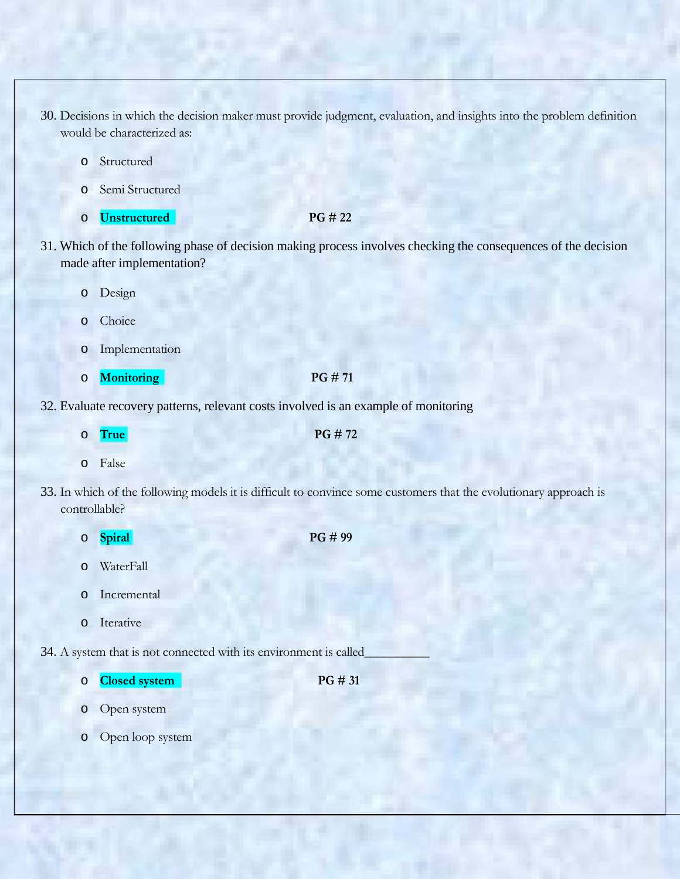- 30. Decisions in which the decision maker must provide judgment, evaluation, and insights into the problem definition would be characterized as:
	- o Structured
	- o Semi Structured
	- o **Unstructured PG # 22**

- 31. Which of the following phase of decision making process involves checking the consequences of the decision made after implementation?
	- o Design
	- o Choice
	- o Implementation
	- o **Monitoring PG # 71**

- 32. Evaluate recovery patterns, relevant costs involved is an example of monitoring
- o **True PG # 72** o False 33. In which of the following models it is difficult to convince some customers that the evolutionary approach is controllable? o **Spiral PG # 99** o WaterFall o Incremental o Iterative 34. A system that is not connected with its environment is called\_
	- o **Closed system PG # 31**

- o Open system
- o Open loop system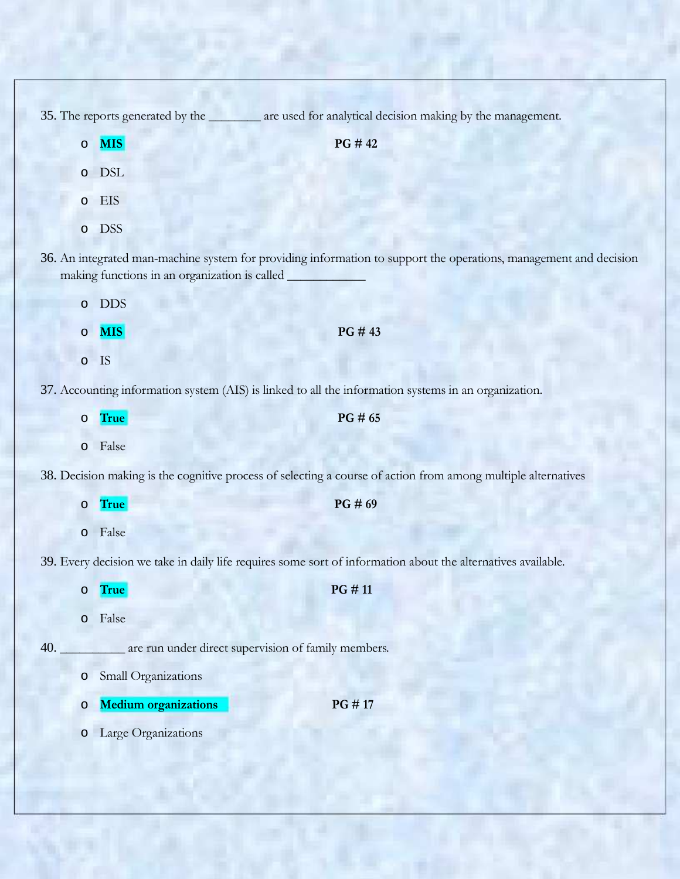35. The reports generated by the \_\_\_\_\_\_\_\_ are used for analytical decision making by the management.

|         | $\circ$ MIS                                   | PG #42                                                                                                            |
|---------|-----------------------------------------------|-------------------------------------------------------------------------------------------------------------------|
|         | o DSL                                         |                                                                                                                   |
|         | o EIS                                         |                                                                                                                   |
|         | o DSS                                         |                                                                                                                   |
|         | making functions in an organization is called | 36. An integrated man-machine system for providing information to support the operations, management and decision |
|         | o DDS                                         |                                                                                                                   |
| $\circ$ | <b>MIS</b>                                    | PG#43                                                                                                             |

o IS

37. Accounting information system (AIS) is linked to all the information systems in an organization.

|     | $\circ$ | True                        | PG # 65                                                                                                       |
|-----|---------|-----------------------------|---------------------------------------------------------------------------------------------------------------|
|     | $\circ$ | False                       |                                                                                                               |
|     |         |                             | 38. Decision making is the cognitive process of selecting a course of action from among multiple alternatives |
|     | $\circ$ | True                        | PG#69                                                                                                         |
|     | $\circ$ | False                       |                                                                                                               |
|     |         |                             | 39. Every decision we take in daily life requires some sort of information about the alternatives available.  |
|     | $\circ$ | True                        | PG #11                                                                                                        |
|     | $\circ$ | False                       |                                                                                                               |
| 40. |         |                             | are run under direct supervision of family members.                                                           |
|     | $\circ$ | Small Organizations         |                                                                                                               |
|     | $\circ$ | <b>Medium organizations</b> | PG #17                                                                                                        |
|     | $\circ$ | Large Organizations         |                                                                                                               |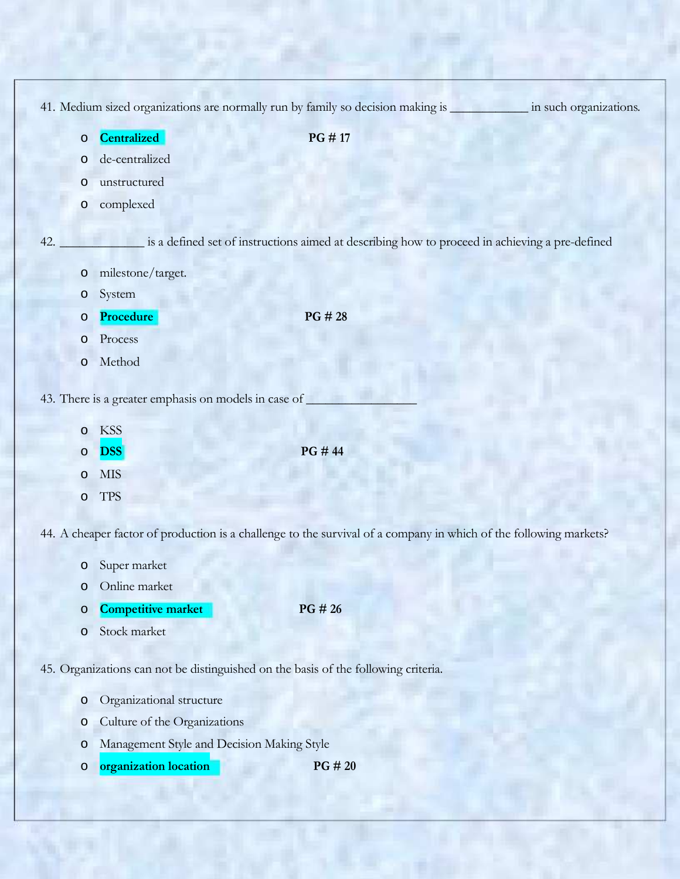|         | 41. Medium sized organizations are normally run by family so decision making is |                                                                                                                   | in such organizations. |
|---------|---------------------------------------------------------------------------------|-------------------------------------------------------------------------------------------------------------------|------------------------|
| $\circ$ | Centralized                                                                     | PG #17                                                                                                            |                        |
| O       | de-centralized                                                                  |                                                                                                                   |                        |
| O       | unstructured                                                                    |                                                                                                                   |                        |
| $\circ$ | complexed                                                                       |                                                                                                                   |                        |
| 42.     |                                                                                 | is a defined set of instructions aimed at describing how to proceed in achieving a pre-defined                    |                        |
| $\circ$ | milestone/target.                                                               |                                                                                                                   |                        |
| $\circ$ | System                                                                          |                                                                                                                   |                        |
| O       | Procedure                                                                       | PG # 28                                                                                                           |                        |
| $\circ$ | Process                                                                         |                                                                                                                   |                        |
| $\circ$ | Method                                                                          |                                                                                                                   |                        |
|         | 43. There is a greater emphasis on models in case of                            |                                                                                                                   |                        |
| $\circ$ | <b>KSS</b>                                                                      |                                                                                                                   |                        |
| O       | <b>DSS</b>                                                                      | PG # 44                                                                                                           |                        |
| $\circ$ | <b>MIS</b>                                                                      |                                                                                                                   |                        |
| O       | <b>TPS</b>                                                                      |                                                                                                                   |                        |
|         |                                                                                 | 44. A cheaper factor of production is a challenge to the survival of a company in which of the following markets? |                        |
| O       | Super market                                                                    |                                                                                                                   |                        |

- o Online market
- o **Competitive market PG # 26**
- o Stock market

45. Organizations can not be distinguished on the basis of the following criteria.

- o Organizational structure
- o Culture of the Organizations
- o Management Style and Decision Making Style
- o **organization location PG # 20**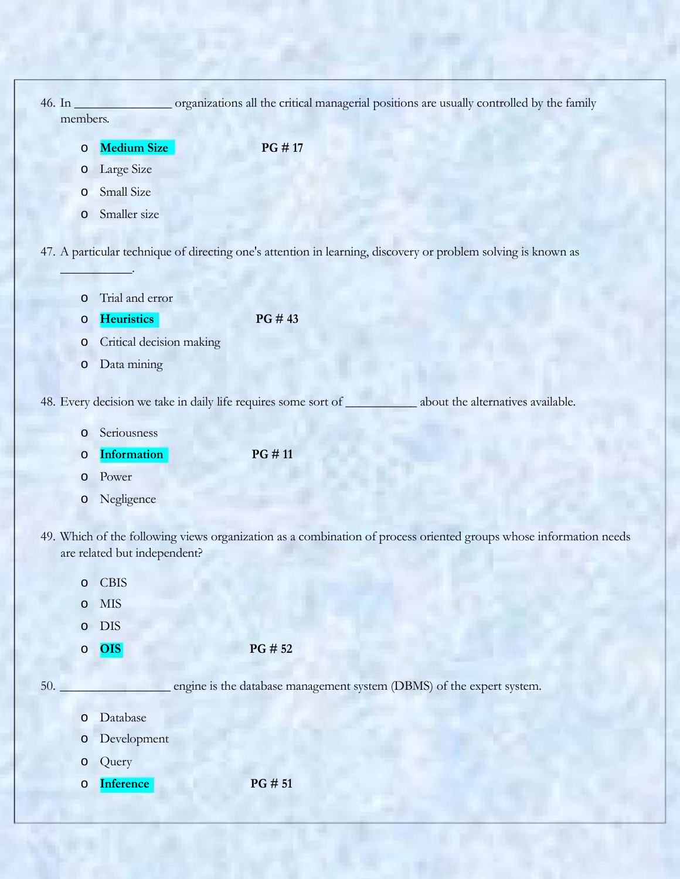|     | 46. In_<br>members. |                                                                | organizations all the critical managerial positions are usually controlled by the family                          |
|-----|---------------------|----------------------------------------------------------------|-------------------------------------------------------------------------------------------------------------------|
|     | $\circ$             | <b>Medium Size</b>                                             | PG #17                                                                                                            |
|     | O                   | Large Size                                                     |                                                                                                                   |
|     | O                   | Small Size                                                     |                                                                                                                   |
|     | $\circ$             | Smaller size                                                   |                                                                                                                   |
|     |                     |                                                                |                                                                                                                   |
|     |                     |                                                                | 47. A particular technique of directing one's attention in learning, discovery or problem solving is known as     |
|     |                     | Trial and error                                                |                                                                                                                   |
|     | $\circ$<br>O        | <b>Heuristics</b>                                              | PG #43                                                                                                            |
|     | O                   | Critical decision making                                       |                                                                                                                   |
|     | $\circ$             | Data mining                                                    |                                                                                                                   |
|     |                     |                                                                |                                                                                                                   |
|     |                     | 48. Every decision we take in daily life requires some sort of | about the alternatives available.                                                                                 |
|     | O                   | Seriousness                                                    |                                                                                                                   |
|     | $\circ$             | <b>Information</b>                                             | PG #11                                                                                                            |
|     | O                   | Power                                                          |                                                                                                                   |
|     | O                   | Negligence                                                     |                                                                                                                   |
|     |                     |                                                                | 49. Which of the following views organization as a combination of process oriented groups whose information needs |
|     |                     | are related but independent?                                   |                                                                                                                   |
|     | $\circ$             | <b>CBIS</b>                                                    |                                                                                                                   |
|     | $\circ$             | $\ensuremath{\text{MIS}}$                                      |                                                                                                                   |
|     | $\circ$             | <b>DIS</b>                                                     |                                                                                                                   |
|     | $\circ$             | <b>OIS</b>                                                     | PG # 52                                                                                                           |
| 50. |                     |                                                                | engine is the database management system (DBMS) of the expert system.                                             |
|     |                     |                                                                |                                                                                                                   |
|     | $\circ$             | Database                                                       |                                                                                                                   |
|     | $\circ$             | Development                                                    |                                                                                                                   |
|     | $\circ$             | Query                                                          |                                                                                                                   |
|     | $\circ$             | Inference                                                      | PG # 51                                                                                                           |
|     |                     |                                                                |                                                                                                                   |

Ŧ

h

Ñ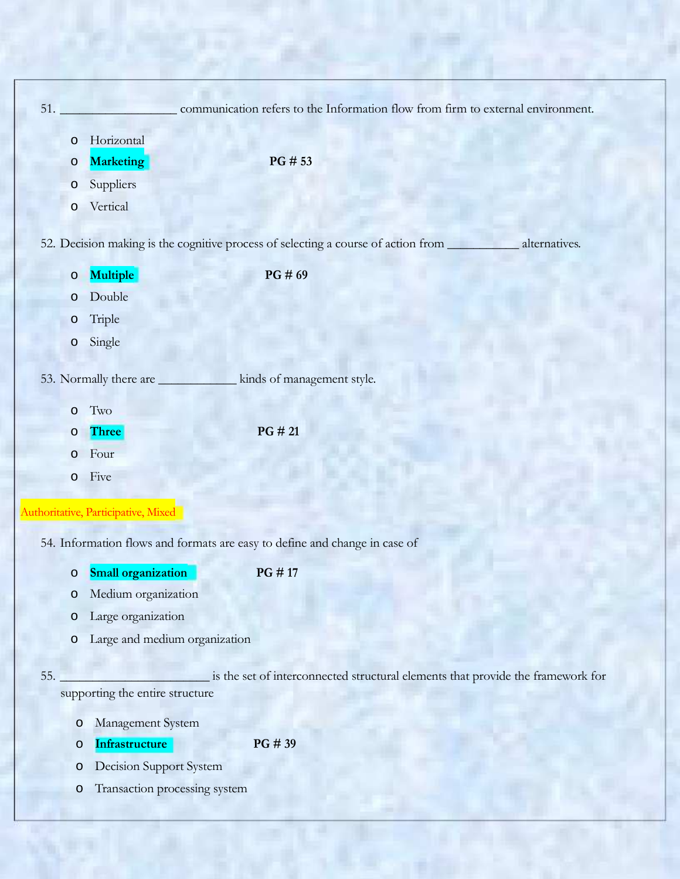| 51.     |                                     | communication refers to the Information flow from firm to external environment.                               |
|---------|-------------------------------------|---------------------------------------------------------------------------------------------------------------|
| $\circ$ | Horizontal                          |                                                                                                               |
| $\circ$ | <b>Marketing</b>                    | PG # 53                                                                                                       |
| $\circ$ | Suppliers                           |                                                                                                               |
| $\circ$ | Vertical                            |                                                                                                               |
|         |                                     | 52. Decision making is the cognitive process of selecting a course of action from _____________ alternatives. |
| $\circ$ | Multiple                            | PG#69                                                                                                         |
| $\circ$ | Double                              |                                                                                                               |
| $\circ$ | Triple                              |                                                                                                               |
| $\circ$ | Single                              |                                                                                                               |
|         | 53. Normally there are              | kinds of management style.                                                                                    |
| $\circ$ | Two                                 |                                                                                                               |
| $\circ$ | <b>Three</b>                        | PG # 21                                                                                                       |
| $\circ$ | Four                                |                                                                                                               |
| $\circ$ | Five                                |                                                                                                               |
|         | Authoritative, Participative, Mixed |                                                                                                               |
|         |                                     |                                                                                                               |
|         |                                     | 54. Information flows and formats are easy to define and change in case of                                    |
| O       | <b>Small organization</b>           | PG #17                                                                                                        |
| $\circ$ | Medium organization                 |                                                                                                               |
| $\circ$ | Large organization                  |                                                                                                               |
| $\circ$ | Large and medium organization       |                                                                                                               |
| 55.     | supporting the entire structure     | is the set of interconnected structural elements that provide the framework for                               |

- o Management System
- o **Infrastructure PG # 39**
- o Decision Support System
- o Transaction processing system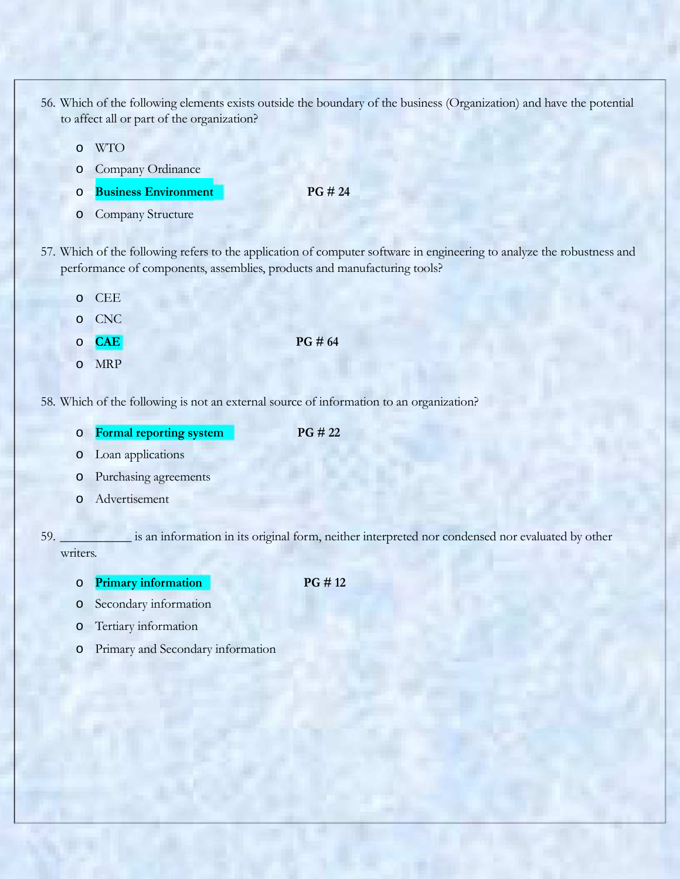- 56. Which of the following elements exists outside the boundary of the business (Organization) and have the potential to affect all or part of the organization?
	- o WTO
	- o Company Ordinance
	- o **Business Environment PG # 24**
	- o Company Structure
- 57. Which of the following refers to the application of computer software in engineering to analyze the robustness and performance of components, assemblies, products and manufacturing tools?
	- o CEE
	- o CNC
	- o **CAE PG # 64**
	- o MRP

58. Which of the following is not an external source of information to an organization?

- o **Formal reporting system PG # 22**
	-

- o Loan applications
- o Purchasing agreements
- o Advertisement

59. \_\_\_\_\_\_\_\_\_\_\_ is an information in its original form, neither interpreted nor condensed nor evaluated by other writers.

- o **Primary information PG # 12**
- o Secondary information
- o Tertiary information
- o Primary and Secondary information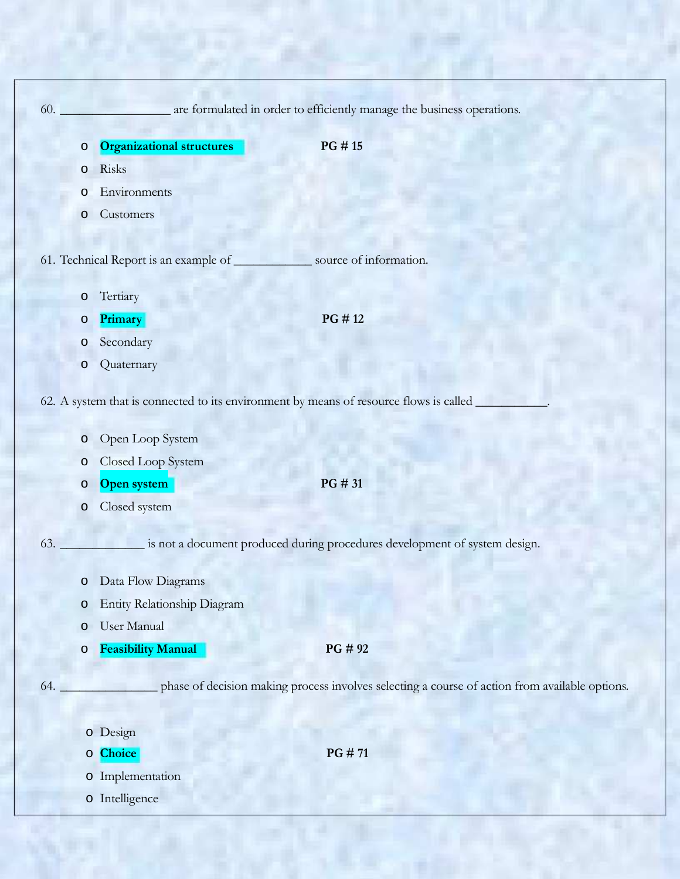| 60. |         |                                                                                        | are formulated in order to efficiently manage the business operations.                         |
|-----|---------|----------------------------------------------------------------------------------------|------------------------------------------------------------------------------------------------|
|     |         |                                                                                        |                                                                                                |
|     | $\circ$ | <b>Organizational structures</b><br>Risks                                              | PG #15                                                                                         |
|     | O<br>O  | Environments                                                                           |                                                                                                |
|     | O       | Customers                                                                              |                                                                                                |
|     |         |                                                                                        |                                                                                                |
|     |         | 61. Technical Report is an example of                                                  | source of information.                                                                         |
|     | O       | Tertiary                                                                               |                                                                                                |
|     | O       | Primary                                                                                | PG #12                                                                                         |
|     | O       | Secondary                                                                              |                                                                                                |
|     | O       | Quaternary                                                                             |                                                                                                |
|     |         |                                                                                        |                                                                                                |
|     |         | 62. A system that is connected to its environment by means of resource flows is called |                                                                                                |
|     | O       | Open Loop System                                                                       |                                                                                                |
|     | O       | Closed Loop System                                                                     |                                                                                                |
|     | O       | Open system                                                                            | PG # 31                                                                                        |
|     | O       | Closed system                                                                          |                                                                                                |
|     |         |                                                                                        |                                                                                                |
| 63. |         |                                                                                        | is not a document produced during procedures development of system design.                     |
|     | $\circ$ | Data Flow Diagrams                                                                     |                                                                                                |
|     | $\circ$ | Entity Relationship Diagram                                                            |                                                                                                |
|     | O       | User Manual                                                                            |                                                                                                |
|     | $\circ$ | <b>Feasibility Manual</b>                                                              | PG # 92                                                                                        |
| 64. |         |                                                                                        | phase of decision making process involves selecting a course of action from available options. |
|     |         |                                                                                        |                                                                                                |
|     |         | o Design                                                                               |                                                                                                |
|     |         | o Choice                                                                               | PG #71                                                                                         |
|     |         | o Implementation                                                                       |                                                                                                |
|     |         | o Intelligence                                                                         |                                                                                                |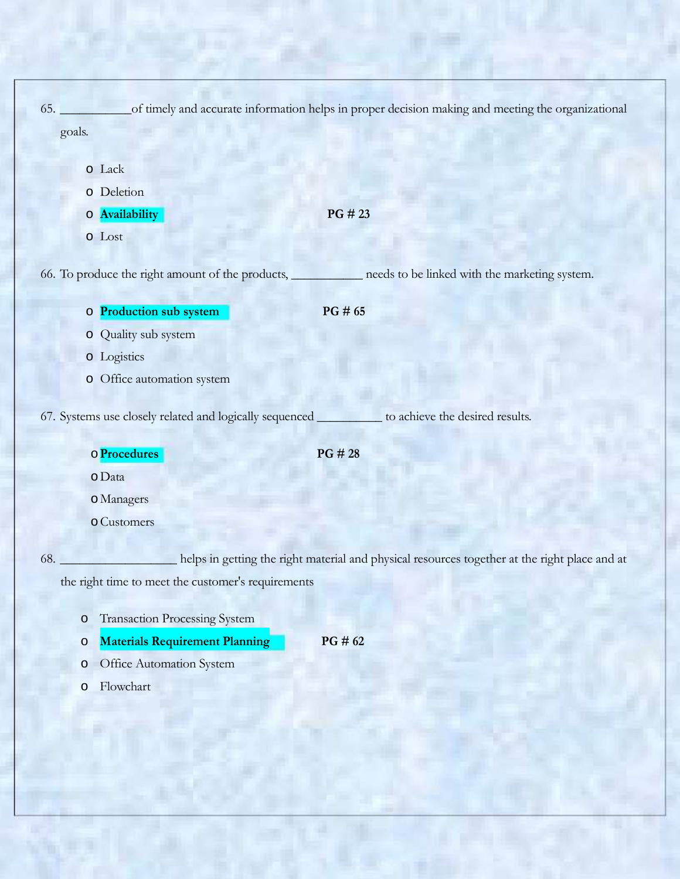|     |                                                                                                     | 65. of timely and accurate information helps in proper decision making and meeting the organizational      |
|-----|-----------------------------------------------------------------------------------------------------|------------------------------------------------------------------------------------------------------------|
|     | goals.                                                                                              |                                                                                                            |
|     | o Lack<br>o Deletion<br>o Availability<br>o Lost                                                    | PG # 23                                                                                                    |
|     |                                                                                                     | 66. To produce the right amount of the products, ___________ needs to be linked with the marketing system. |
|     | o Production sub system                                                                             | PG # 65                                                                                                    |
|     | o Quality sub system                                                                                |                                                                                                            |
|     | o Logistics                                                                                         |                                                                                                            |
|     | o Office automation system                                                                          |                                                                                                            |
|     | 67. Systems use closely related and logically sequenced ___________ to achieve the desired results. |                                                                                                            |
|     | o Procedures                                                                                        | PG#28                                                                                                      |
|     | o Data                                                                                              |                                                                                                            |
|     | o Managers                                                                                          |                                                                                                            |
|     | o Customers                                                                                         |                                                                                                            |
| 68. | the right time to meet the customer's requirements                                                  | helps in getting the right material and physical resources together at the right place and at              |
|     | <b>Transaction Processing System</b><br>$\circ$<br><b>Materials Requirement Planning</b><br>$\circ$ | PG # 62                                                                                                    |
|     | Office Automation System<br>$\circ$                                                                 |                                                                                                            |

o Flowchart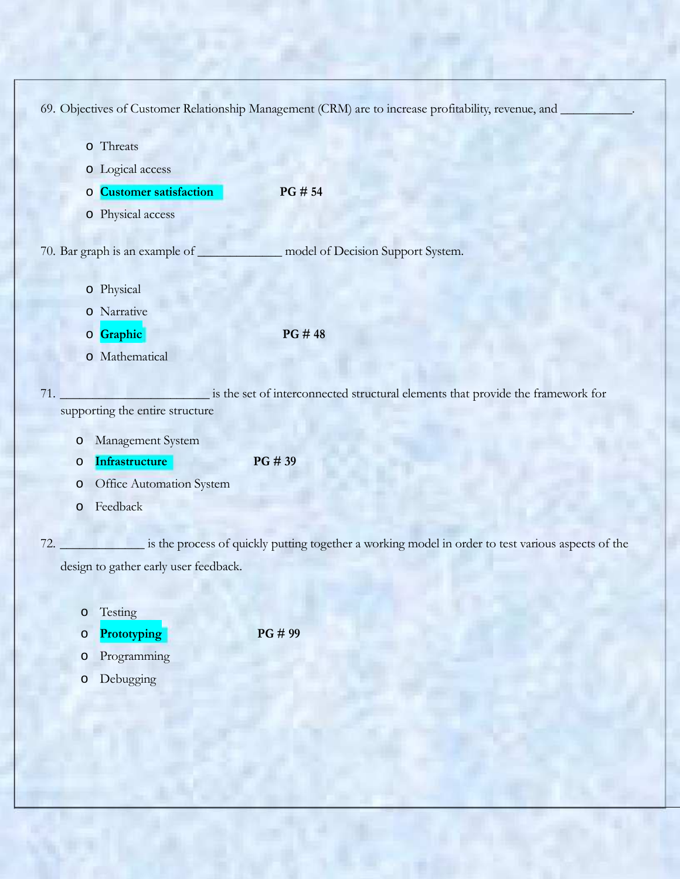69. Objectives of Customer Relationship Management (CRM) are to increase profitability, revenue, and \_

|         | o Threats                             |                                                                                                    |
|---------|---------------------------------------|----------------------------------------------------------------------------------------------------|
|         | o Logical access                      |                                                                                                    |
| $\circ$ | <b>Customer satisfaction</b>          | PG # 54                                                                                            |
|         | o Physical access                     |                                                                                                    |
|         | 70. Bar graph is an example of        | model of Decision Support System.                                                                  |
|         | o Physical                            |                                                                                                    |
|         | o Narrative                           |                                                                                                    |
|         | o Graphic                             | PG #48                                                                                             |
|         | o Mathematical                        |                                                                                                    |
| 71.     | supporting the entire structure       | is the set of interconnected structural elements that provide the framework for                    |
| $\circ$ | Management System                     |                                                                                                    |
| $\circ$ | Infrastructure                        | PG # 39                                                                                            |
| $\circ$ | Office Automation System              |                                                                                                    |
| $\circ$ | Feedback                              |                                                                                                    |
| 72.     |                                       | is the process of quickly putting together a working model in order to test various aspects of the |
|         | design to gather early user feedback. |                                                                                                    |

o Testing

o **Prototyping PG # 99**

- o Programming
- o Debugging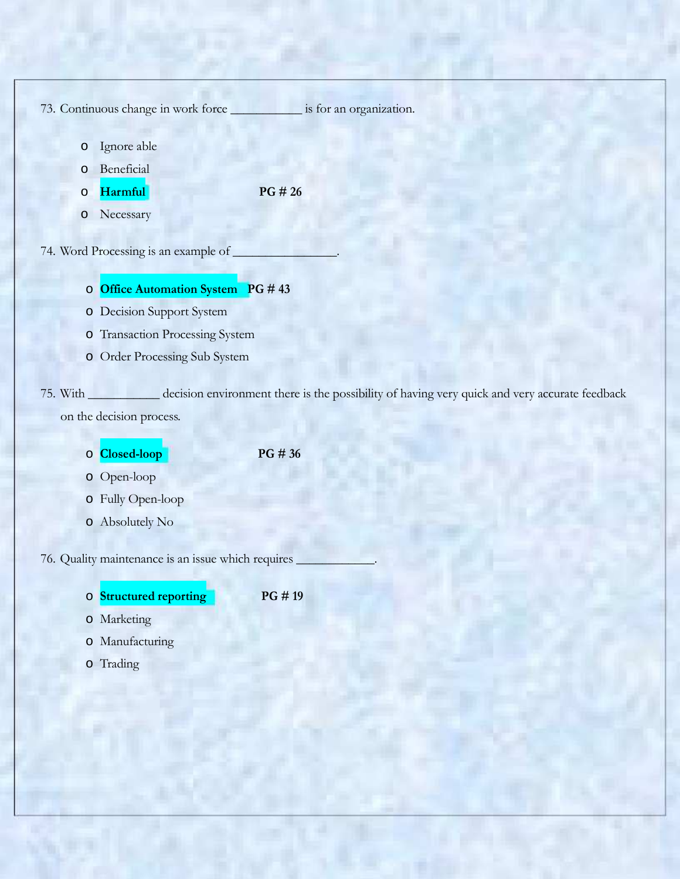|                    | 73. Continuous change in work force _____________ is for an organization.                     |  |
|--------------------|-----------------------------------------------------------------------------------------------|--|
|                    |                                                                                               |  |
| $\circ$            | Ignore able<br>Beneficial                                                                     |  |
| $\circ$            | PG # 26<br>Harmful <sup>1</sup>                                                               |  |
| $\circ$<br>$\circ$ | Necessary                                                                                     |  |
|                    |                                                                                               |  |
|                    | 74. Word Processing is an example of                                                          |  |
|                    |                                                                                               |  |
|                    | O Office Automation System PG #43                                                             |  |
|                    | o Decision Support System                                                                     |  |
|                    | o Transaction Processing System                                                               |  |
|                    | o Order Processing Sub System                                                                 |  |
| 75. With           | decision environment there is the possibility of having very quick and very accurate feedback |  |
|                    | on the decision process.                                                                      |  |
|                    |                                                                                               |  |
|                    | o Closed-loop<br>PG # 36                                                                      |  |
|                    | o Open-loop                                                                                   |  |
|                    | o Fully Open-loop                                                                             |  |
|                    | o Absolutely No                                                                               |  |
|                    | 76. Quality maintenance is an issue which requires                                            |  |
|                    |                                                                                               |  |
|                    | PG #19<br><b>Structured reporting</b>                                                         |  |
|                    | o Marketing                                                                                   |  |
|                    |                                                                                               |  |
|                    | o Manufacturing                                                                               |  |
|                    | o Trading                                                                                     |  |
|                    |                                                                                               |  |